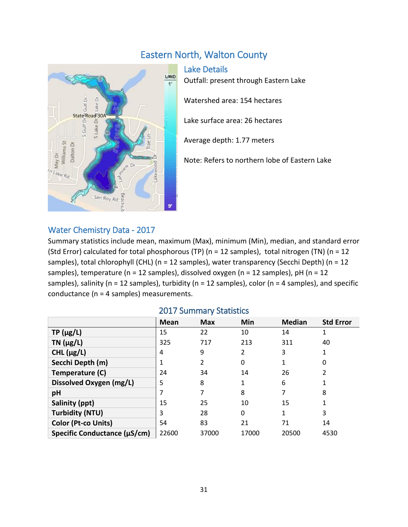# Eastern North, Walton County



Lake Details Outfall: present through Eastern Lake Watershed area: 154 hectares Lake surface area: 26 hectares Average depth: 1.77 meters Note: Refers to northern lobe of Eastern Lake

## Water Chemistry Data - 2017

Summary statistics include mean, maximum (Max), minimum (Min), median, and standard error (Std Error) calculated for total phosphorous (TP) (n = 12 samples), total nitrogen (TN) (n = 12 samples), total chlorophyll (CHL) (n = 12 samples), water transparency (Secchi Depth) (n = 12 samples), temperature ( $n = 12$  samples), dissolved oxygen ( $n = 12$  samples),  $pH$  ( $n = 12$ samples), salinity (n = 12 samples), turbidity (n = 12 samples), color (n = 4 samples), and specific conductance (n = 4 samples) measurements.

|                              | <b>Mean</b> | <b>Max</b> | Min      | <b>Median</b> | <b>Std Error</b> |
|------------------------------|-------------|------------|----------|---------------|------------------|
| $TP(\mu g/L)$                | 15          | 22         | 10       | 14            | 1                |
| TN $(\mu g/L)$               | 325         | 717        | 213      | 311           | 40               |
| CHL $(\mu g/L)$              | 4           | 9          | 2        | 3             |                  |
| Secchi Depth (m)             |             | 2          | $\Omega$ |               | 0                |
| Temperature (C)              | 24          | 34         | 14       | 26            |                  |
| Dissolved Oxygen (mg/L)      | 5           | 8          | 1        | 6             |                  |
| pH                           |             |            | 8        | 7             | 8                |
| Salinity (ppt)               | 15          | 25         | 10       | 15            |                  |
| <b>Turbidity (NTU)</b>       | 3           | 28         | 0        | 1             | 3                |
| Color (Pt-co Units)          | 54          | 83         | 21       | 71            | 14               |
| Specific Conductance (µS/cm) | 22600       | 37000      | 17000    | 20500         | 4530             |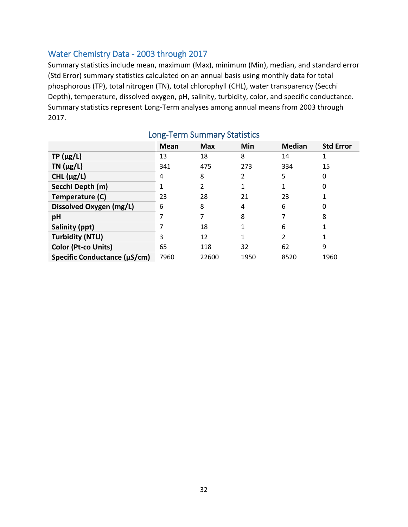## Water Chemistry Data - 2003 through 2017

Summary statistics include mean, maximum (Max), minimum (Min), median, and standard error (Std Error) summary statistics calculated on an annual basis using monthly data for total phosphorous (TP), total nitrogen (TN), total chlorophyll (CHL), water transparency (Secchi Depth), temperature, dissolved oxygen, pH, salinity, turbidity, color, and specific conductance. Summary statistics represent Long-Term analyses among annual means from 2003 through 2017.

|                              | Mean | <b>Max</b> | Min  | <b>Median</b>  | <b>Std Error</b> |
|------------------------------|------|------------|------|----------------|------------------|
| $TP(\mu g/L)$                | 13   | 18         | 8    | 14             |                  |
| TN $(\mu g/L)$               | 341  | 475        | 273  | 334            | 15               |
| CHL $(\mu g/L)$              | 4    | 8          | 2    | 5              | Ω                |
| Secchi Depth (m)             |      | 2          |      | 1              | 0                |
| Temperature (C)              | 23   | 28         | 21   | 23             |                  |
| Dissolved Oxygen (mg/L)      | 6    | 8          | 4    | 6              |                  |
| pH                           |      |            | 8    | 7              | 8                |
| Salinity (ppt)               |      | 18         | 1    | 6              |                  |
| <b>Turbidity (NTU)</b>       | 3    | 12         | 1    | $\overline{2}$ |                  |
| Color (Pt-co Units)          | 65   | 118        | 32   | 62             | 9                |
| Specific Conductance (µS/cm) | 7960 | 22600      | 1950 | 8520           | 1960             |

# Long-Term Summary Statistics